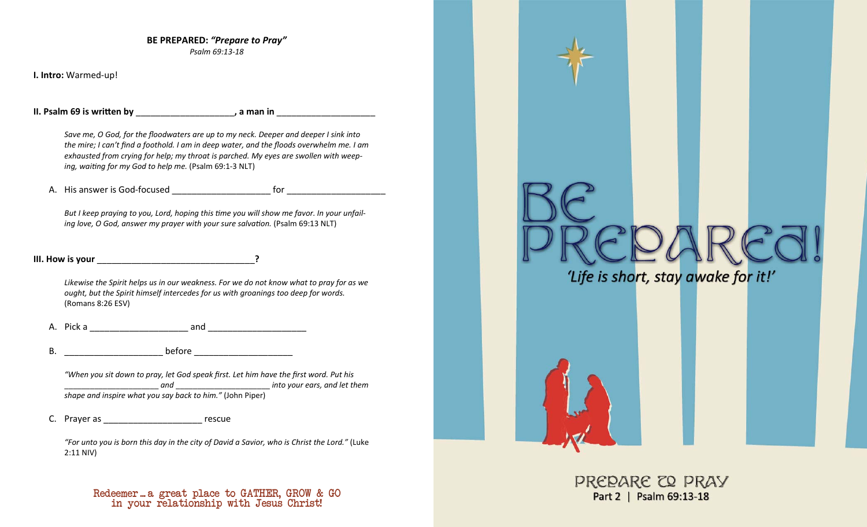**BE PREPARED:** *"Prepare to Pray" Psalm 69:13-18* 

**I. Intro:** Warmed-up!

**II. Psalm 69 is written by \_\_\_\_\_\_\_\_\_\_\_\_\_\_\_\_\_\_\_\_\_\_\_, a man in \_\_\_\_\_\_\_\_\_\_\_\_\_\_\_\_\_\_** 

*Save me, O God, for the floodwaters are up to my neck. Deeper and deeper I sink into the mire; I can't find a foothold. I am in deep water, and the floods overwhelm me. I am exhausted from crying for help; my throat is parched. My eyes are swollen with weeping, waiƟng for my God to help me.* (Psalm 69:1-3 NLT)

A. His answer is God-focused example a strategies of the strategies of the strategies of the strategies of the strategies of the strategies of the strategies of the strategies of the strategies of the strategies of the str

But I keep praying to you, Lord, hoping this time you will show me favor. In your unfail*ing love, O God, answer my prayer with your sure salvation.* (Psalm 69:13 NLT)

**III. How is your** \_\_\_\_\_\_\_\_\_\_\_\_\_\_\_\_\_\_\_\_\_\_\_\_\_\_\_\_\_\_\_\_**?**

*Likewise the Spirit helps us in our weakness. For we do not know what to pray for as we ought, but the Spirit himself intercedes for us with groanings too deep for words.* (Romans 8:26 ESV)

A. Pick a zero and and  $\overline{a}$ 

B. \_\_\_\_\_\_\_\_\_\_\_\_\_\_\_\_\_\_\_\_ before \_\_\_\_\_\_\_\_\_\_\_\_\_\_\_\_\_\_\_\_

*"When you sit down to pray, let God speak first. Let him have the first word. Put his and*  \_\_\_\_\_\_\_\_\_\_\_\_\_\_\_\_\_\_\_\_\_\_ *into your ears, and let them shape and inspire what you say back to him."* (John Piper)

C. Prayer as \_\_\_\_\_\_\_\_\_\_\_\_\_\_\_\_\_\_\_\_\_ rescue

*"For unto you is born this day in the city of David a Savior, who is Christ the Lord."* (Luke 2:11 NIV)

in your relationship with Jesus Christ! Redeemer ... a great place to GATHER, GROW & GO

'Life is short, stay awake for it!'

PREPARE CO PRAY Part 2 | Psalm 69:13-18